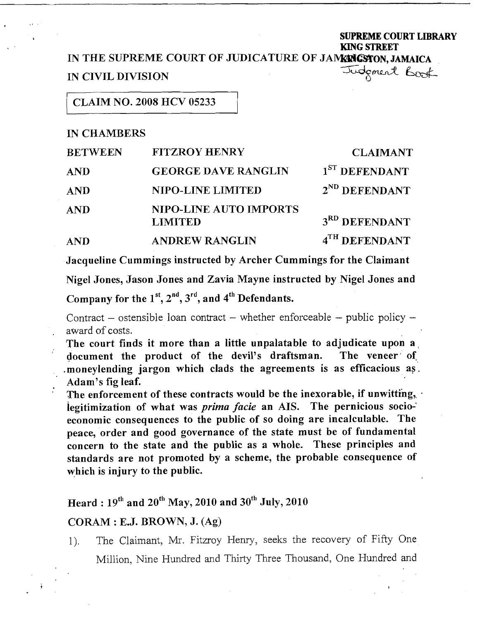#### **KING** STREET IN THE SUPREME COURT OF JUDICATURE OF JAINANGSTON, JAMAICA Judgment Book IN CIVIL DIVISION

, **SUPREME** COURT LIBRARY

CLAIM NO. 2008 HCV 05233

## IN CHAMBERS

| <b>BETWEEN</b> | <b>FITZROY HENRY</b>                            | <b>CLAIMANT</b>           |
|----------------|-------------------------------------------------|---------------------------|
| <b>AND</b>     | <b>GEORGE DAVE RANGLIN</b>                      | 1 <sup>ST</sup> DEFENDANT |
| <b>AND</b>     | NIPO-LINE LIMITED                               | $2^{ND}$ DEFENDANT        |
| <b>AND</b>     | <b>NIPO-LINE AUTO IMPORTS</b><br><b>LIMITED</b> | 3 <sup>RD</sup> DEFENDANT |
| <b>AND</b>     | <b>ANDREW RANGLIN</b>                           | 4 <sup>TH</sup> DEFENDANT |

Jacqueline Cummings instructed by Archer Cummings for the Claimant

Nigel Jones, Jason Jones and Zavia Mayne instructed by Nigel Jones and

Company for the  $1^{st}$ ,  $2^{nd}$ ,  $3^{rd}$ , and  $4^{th}$  Defendants.

Contract - ostensible loan contract - whether enforceable - public policy -. award of costs.

The court finds it more than a little unpalatable to adjudicate upon **a.**  document the product of the devil's draftsman. The veneer of. .moneylending jargon which clads the agreements is as efficacious as. Adam's fig leaf.

The enforcement of these contracts would be the inexorable, if unwitting,  $\cdot$ legitimization of what was prima facie an AIS. The pernicious socioeconomic consequences to the public of so doing are incalculable. The peace, order and good governance of the state must be of fundamental concern to the state and the public as a whole. These principles and standards are not promoted by a scheme, the probable consequence of which is injury to the public.

# Heard :  $19^{th}$  and  $20^{th}$  May, 2010 and  $30^{th}$  July, 2010

## $CORAM : E.J. BROWN, J. (Ag)$

1). The Claimant, Mr. Fitzroy Henry, seeks the recovery of Fifty One Million, Nine Hundred and Thirty Three Thousand, One Hundred and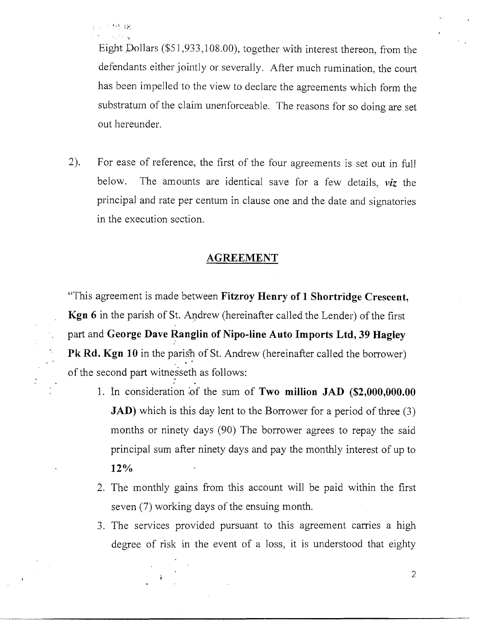Eight Dollars (\$51,933,108.00), together with interest thereon, from the defendants either jointly or severally. After much rumination, the court has been impelled to the view to declare the agreements which form the substratum of the claim unenforceable. The reasons for so doing are set out hereunder.

2). For ease of reference, the first of the four agreements is set out in full below. The amounts are identical save for a few details, *viz* the principal and rate per centum in clause one and the date and signatories in the execution section.

## **AGREEMENT**

"This agreement is made between **Fitzroy Henry of 1 Shortridge Crescent,**  , **Kgn 6** in the parish of St. Andrew (hereinafter called the Lender) of the first . part and **George Dave Ranglin of Nipo-line Auto Imports Ltd, 39 Hagley Pk Rd. Kgn 10** in the parish of St. Andrew (hereinafter called the borrower) of the second part witnesseth as follows:

- 1. In consideration ;of the sum of **Two million JAD (\$2,000,000.00 JAD**) which is this day lent to the Borrower for a period of three (3) months or ninety days (90) The borrower agrees to repay the said principal sum after ninety days and pay the monthly interest of up to 12%
- 2. The monthly gains from this account will be paid within the first seven (7) working days of the ensuing month.
- 3. The services provided pursuant to this agreement carries a high degree of risk in the event of a loss, it is understood that eighty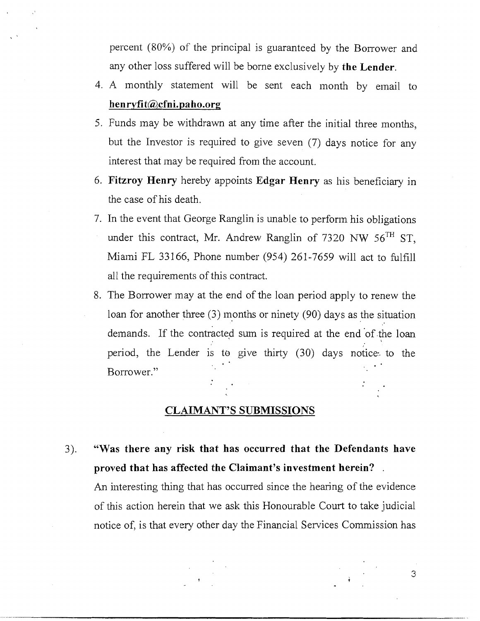percent (80%) of the principal is guaranteed by the Borrower and any other loss suffered will be borne exclusively by **the Lender.** 

- 4. A monthly statement will be sent each month by email to **henryfit@,cfni.pa ho.org**
- 5. Funds inay be withdrawn at any time after the initial three months, but the Investor is required to give seven (7) days notice for any interest that may be required from the account.
- 6. **Fitzroy Henry** hereby appoints **Edgar Henry** as his beneficiary in the case of his death.
- 7. In the event that George Ranglin is unable to perform his obligations under this contract, Mr. Andrew Ranglin of 7320 NW  $56<sup>TH</sup>$  ST. Miami FL 33166, Phone number (954) 261-7659 will act to fulfill all the requirements of this contract.
- 8. The Borrower inay at the end of the loan period apply to renew the loan for another three (3) months or ninety (90) days as the situation demands. If the contracted sum is required at the end of the loan period, the Lender is to give thirty (30) days notice: to the Borrower."

## **CLAIMANT'S SUBMISSIONS**

3). **"Was there any risk that has occurred that the Defendants have proved that has affected the Claimant's investment herein?** .

**An** interesting thing that has occurred since the hearing of the evidence of this action herein that we ask this Honourable Court to take judicial notice of, is that every other day the Financial Services Commission has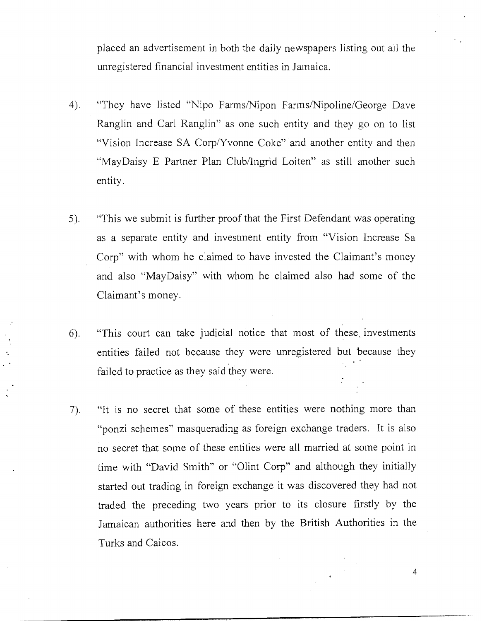placed an advertisement in both the daily newspapers listing out all the unregistered financial investment entities in Jamaica.

- 4). "They have listed "Nipo Farms/Nipon Farms/Nipoline/George Dave Ranglin and Carl Ranglin" as one such entity and they go on to list "Vision Increase SA Corp/Yvonne Coke" and another entity and then "MayDaisy E Partner Plan Club/Ingrid Loiten" as still another such entity.
- 5). **This we submit is further proof that the First Defendant was operating** as a separate entity and investment entity from "Vision Increase Sa Corp" with whom he claimed to have invested the Claimant's money and also "MayDaisy" with whom he claimed also had some of the Claimant's money.
- *6).* "This court can take judicial notice that most of these. investments entities failed not because they were unregistered but because they failed to practice as they said they were.

ŀ,

*7).* "It is no secret that some of these entities were nothing more than "ponzi schemes" masquerading as foreign exchange traders. It is also no secret that some of these entities were all married at some point in time with "David Smith" or "Olint Corp" and although they initially started out trading in foreign exchange it was discovered they had not traded the preceding two years prior to its closure firstly by the Jamaican authorities here and then by the British Authorities in the Turks and Caicos.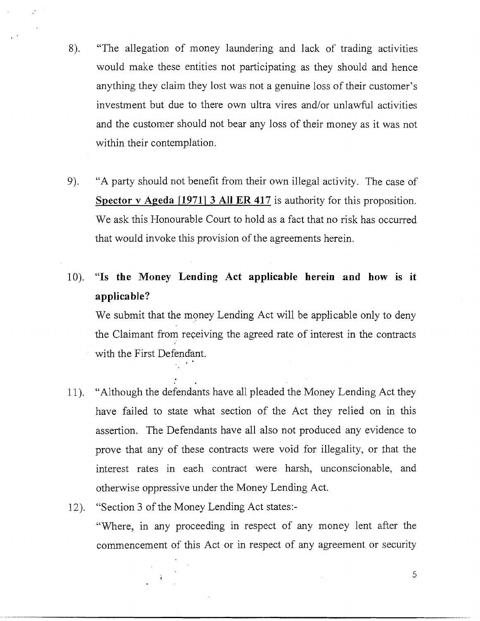- 8). "The allegation of inoney laundering and lack of trading activities would make these entities not participating as they should and hence anything they claim they lost was not a genuine loss of their customer's investment but due to there own ultra vires and/or unlawful activities and the customer should not bear any loss of their money as it was not within their contemplation.
- 9). "A party should not benefit from their own illegal activity. The case of **Spector v Ageda [1971] 3 All ER 417 is authority for this proposition.** We ask this Honourable Court to hold as a fact that no risk has occurred that would invoke this provision of the agreements herein.
- 10). **"Is the Money Lending Act applicable herein and how is it applicable?**  We submit that the money Lending Act will be applicable only to deny

the Claimant from receiving the agreed rate of interest in the contracts with the First Defendant.

- 11). "Although the defendants have all pleaded the Money Lending Act they have failed to state what section of the Act they relied on in this assertion. The Defendants have all also not produced any evidence to prove that any of these contracts were void for illegality., or that the interest rates in each contract were harsh, unconscionable, and otherwise oppressive under the Money Lending Act.
- 12). "Section 3 of the Money Lending Act states:-

"Where, in any proceeding in respect of any inoney lent after the commencement of this Act or in respect of any agreement or security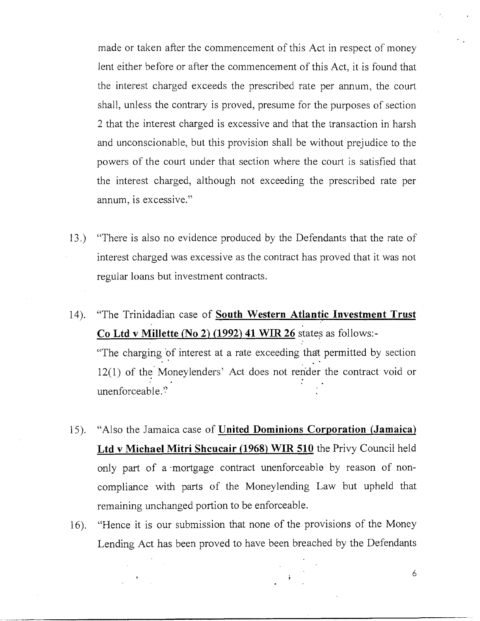made or taken after the commencement of this Act in respect of money lent either before or after the commencement of this Act, it is found that the interest charged exceeds the prescribed rate per annuin, the court shall, unless the contrary is proved, presume for the purposes of section 2 that the interest charged is excessive and that the transaction in harsh and unconscionable, but this provision shall be without prejudice to the powers of the court under that section where the court is satisfied that the interest charged, although not exceeding the prescribed rate per annum, is excessive."

- 13.) "There is also no evidence produced by the Defendants that the rate of interest charged was excessive as the contract has proved that it was not regular loans but investment contracts.
- 14). "The Trinidadian case of **South Western Atlantic Investment Trust Co Ltd v Millette (No 2) (1992) 41 WIR 26** states as follows:- "The charging of interest at a rate exceeding that permitted by section 12(1) of the Moneylenders' Act does not render the contract void or unenforceable.'?
- 15). "Also the Jamaica case of **United Dominions Corporation (Jamaica) Ltd v Michael Mitri Shcucair (1968) WIR 510** the Privy Council held only part of a mortgage contract unenforceable by reason of noncompliance with parts of the Moneylending Law but upheld that remaining unchanged portion to be enforceable.
- 16). "Hence it is our submission that none of the provisions of the Money Lending Act has been proved to have been breached by the Defendants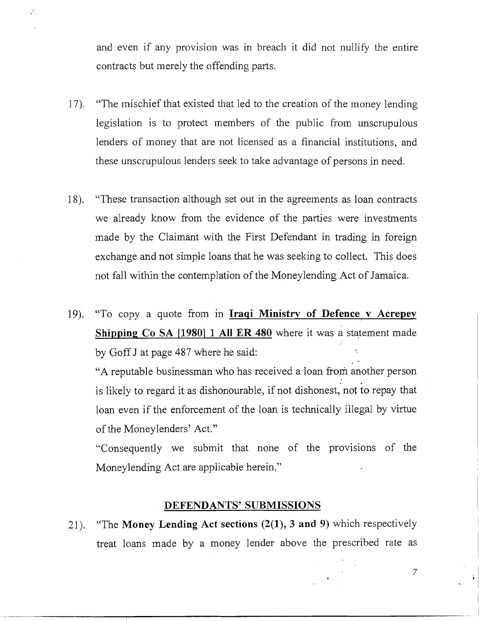and even if any provision was in breach it did not nullify the entire contracts but merely the offending parts.

 $\ddot{\cdot}$ 

- 17). "The mischief that existed that led to the creation of the money lending legislation is to protect members of the public from unscrupulous lenders of money that are not licensed as a financial institutions, and these unscrupulous lenders seek to take advantage of persons in need.
- 18). "These transaction although set out in the agreements as loan contracts we already know from the evidence of the parties were investments made by the Claimant with the First Defendant in trading in foreign exchange and not simple loans that he was seeking to collect. This does not fall within the contemplation of the Moneylending Act of Jamaica.
- 19). "To copy a quote from in **Iraqi Ministry of Defence v Acrepey Shipping Co SA [1980] 1 All ER 480** where it was a statement made by Goff J at page 487 where he said:

"A reputable businessman who has received a loan from another person is likely to regard it as dishonourable, if not dishonest, not to repay that loan even if the enforcement of the loan is technically illegal by virtue of the Moneylenders' Act."

"Consequently we subinit that none of the provisions of the Moneylending Act are applicable herein."

## **DEFENDANTS' SUBMISSIONS**

21). "The **Money Lending Act sections (2(1), 3 and 9)** which respectively treat loans made by a money lender above the prescribed rate as

 $\overline{7}$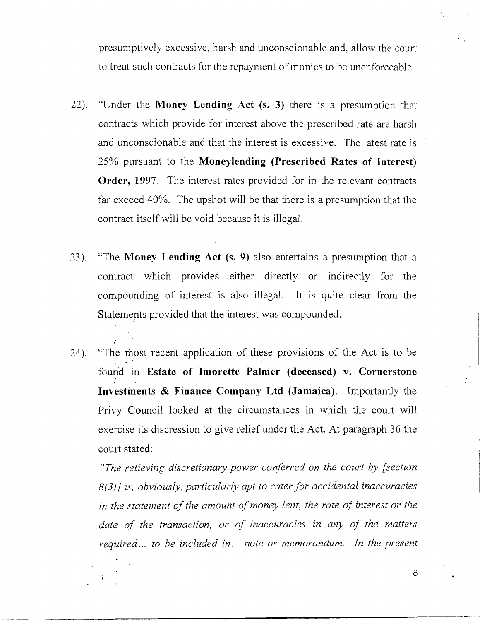presumptively excessive, harsh and unconscionable and, allow the court to treat such contracts for the repayment of monies to be unenforceable.

- 22). "Under the **Money Lending Act (s. 3)** there is a presumption that contracts which provide for interest above the prescribed rate are harsh and unconscionable and that the interest is excessive. The latest rate is 25% pursuant to the **Moneylending (Prescribed Rates of Interest) Order, 1997.** The interest rates provided for in the relevant contracts far exceed  $40\%$ . The upshot will be that there is a presumption that the contract itself will be void because it is illegal.
- 23). "The **Money Lending Act (s. 9)** also entertains a presumption that a contract which provides either directly or indirectly for the compounding of interest is also illegal. It is quite clear from the Statements provided that the interest was compounded.
- 24). "The most recent application of these provisions of the Act is to be fourid in **Estate of Imorette Palmer (deceased) v. Cornerstone Investinents** & **Finance Company Ltd (Jamaica).** Importantly the Privy Council looked at the circumstances in which the court will exercise its discression to give relief under the Act. At paragraph 36 the court stated:

*"The relieving discretionavy power conferred on the court by [section 8(3)] is, obviously, particularly apt to cater for accidental inaccuracies in the statement of the amount of money lent, the rate of interest or the date of the transaction, or of inaccuracies in any of the matters required* ... *to be included in* ... *note or memorandum. In the present*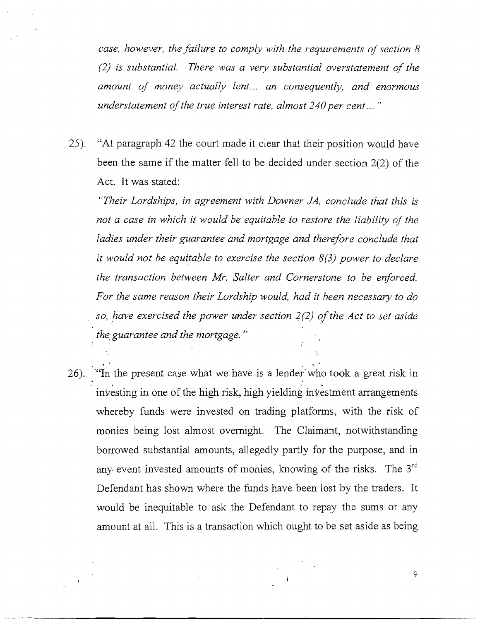*case, however, the failure to comply with the requirements of section 8* (2) is substantial. There was a very substantial overstatement of the *amount of money actually lent* ... *an consequently, and enormous understatement of the true interest rate, almost 240 per cent...*"

25). "At paragraph 42 the court made it clear that their position would have been the same if the matter fell to be decided under section  $2(2)$  of the Act. It was stated:

*"Their Lordships, in agreement with Downer JA, conclude that this is not a case in which it would be equitable to restore the liability of the ladies under their guarantee and mortgage and therefore conclude that it would not be equitable to exercise the section 8(3) power to declare the transaction between Mr.. Salter and Cornerstone to be enforced.*  For the same reason their Lordship would, had it been necessary to do *so, have exercised the power under section 2(2) of the Act to set aside the guarantee and the mortgage.*"

26). '"In the present case what we have is a lender'who took a great risk in investing in one of the high risk, high yielding investment arrangements whereby funds were invested on trading platforms, with the risk of monies being lost allnost overnight. The Claimant, notwithstanding borrowed substantial amounts, allegedly partly for the purpose, and in any event invested amounts of monies, knowing of the risks. The  $3<sup>rd</sup>$ Defendant has shown where the funds have been lost by the traders. It would be inequitable to ask the Defendant to repay the sums or any amount at all. This is a transaction which ought to be set aside as being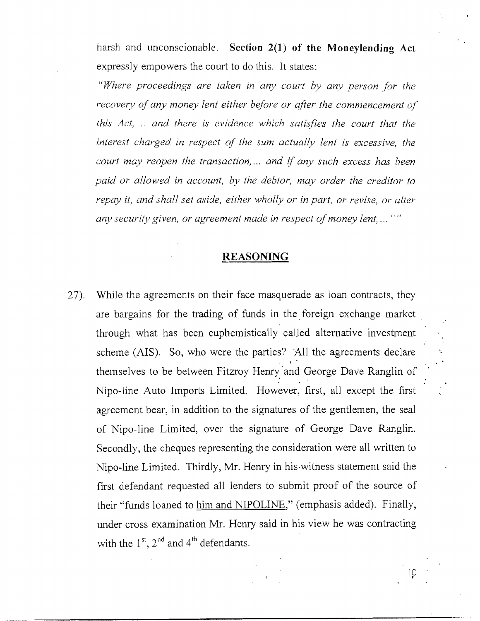harsh and unconscionable. **Section 2(1) of the Moneylending Act** expressly empowers the court to do this. It states:

"Where proceedings are taken in any court by any person for the *recovery of any money lent either before or after the commencement of this Act, .. and there is evidence which satisfies the court that the interest charged in respect of the sum actually lent is excessive, the court may reopen the transaction,... and if any such excess has been paid or allowed in account, by the debtor, may order the creditor to repay it, and shall set aside, either wholly or in part, or revise, or alter any security given, or agreement made in respect of money lent,...* ""

### **REASONING**

27). While the agreements on their face masquerade as loan contracts, they are bargains for the trading of funds in the foreign exchange market through what has been euphemistically called alternative investment scheme (AIS). So, who were the parties? 'All the agreements declare themselves to be between Fitzroy Henry and George Dave Ranglin of Nipo-line Auto Imports Limited. However, first, all except the first agreement bear, in addition to the signatures of the gentlemen, the seal of Nipo-line Limited, over the signature of George Dave Ranglin. Secondly, the cheques representing the consideration were all written to Nipo-line Limited. Thirdly, Mr. Henry in his.witness statement said the first defendant requested all lenders to submit proof of the source of their "funds loaned to him and NIPOLINE," (emphasis added). Finally, under cross examination Mr. Henry said in his view he was contracting with the  $1<sup>st</sup>$ ,  $2<sup>nd</sup>$  and  $4<sup>th</sup>$  defendants.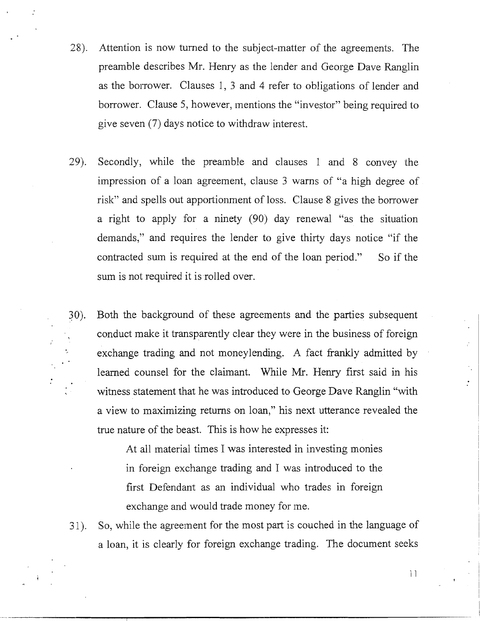- 28). Attention is now turned to the subject-matter of the agreements. The preamble describes Mr. Henry as the lender and George Dave Ranglin as the borrower. Clauses 1, 3 and 4 refer to obligations of lender and borrower. Clause 5, however, mentions the "investor" being required to give seven (7) days notice to withdraw interest.
- 29). Secondly, while the preamble and clauses 1 and 8 convey the impression of a loan agreement, clause 3 warns of "a high degree of risk" and spells out apportionment of loss. Clause 8 gives the borrower a right to apply for a ninety (90) day renewal "as the situation demands," and requires the lender to give thirty days notice "if the contracted sum is required at the end of the loan period." So if the sum is not required it is rolled over.
- 30). Both the background of these agreements and the parties subsequent conduct make it transparently clear they were in the business of foreign exchange trading and not moneylending. A fact frankly admitted by learned counsel for the claimant. While Mr. Henry first said in his witness statement that he was introduced to George Dave Ranglin "with a view to inaximizing returns on loan," his next utterance revealed the true nature of the beast. This is how he expresses it:

At all material times I was interested in investing monies in foreign exchange trading and I was introduced to the first Defendant as an individual who trades in foreign exchange and would trade money for me.

3 1). So, while the agreement for the most part is couched in the language of a loan, it is clearly for foreign exchange trading. The document seeks

 $11$ 

 $\vec{r}$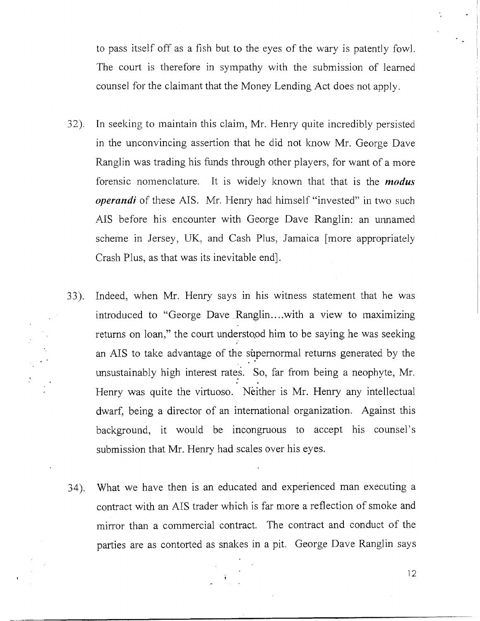to pass itself off as a fish but to the eyes of the wary is patently fowl. The court is therefore in sympathy with the submission of learned counsel for the claimant that the Money Lending Act does not apply.

- 32). In seeking to maintain this claim, Mr. Henry quite incredibly persisted in the unconvincing assertion that he did not know Mr. George Dave Ranglin was trading his funds through other players, for want of a more forensic nomenclature. It is widely known that that is the *modus operandi* of these AIS. Mr. Henry had himself "invested" in two such AIS before his encounter with George Dave Ranglin: an unnamed scheme in Jersey, UK, and Cash Plus, Jamaica [more appropriately Crash Plus, as that was its inevitable end].
- 33). Indeed, when Mr. Henry says in his witness statement that he was introduced to "George Dave .Ranglin,. ..with a view to maximizing returns on loan," the court understood him to be saying he was seeking an AIS to take advantage of the supernormal returns generated by the unsustainably high interest rates. So, far from being a neophyte, Mr. Henry was quite the virtuoso. Neither is Mr. Henry any intellectual dwarf, being a director of an international organization. Against this background, it would be incongruous to accept his counsel's submission that Mr. Henry had scales over his eyes.
- 34). What we have then is an educated and experienced man executing a contract with an AIS trader which is far more a reflection of smoke and mirror than a commercial contract. The contract and conduct of the parties are as contorted as snakes in a pit. George Dave Ranglin says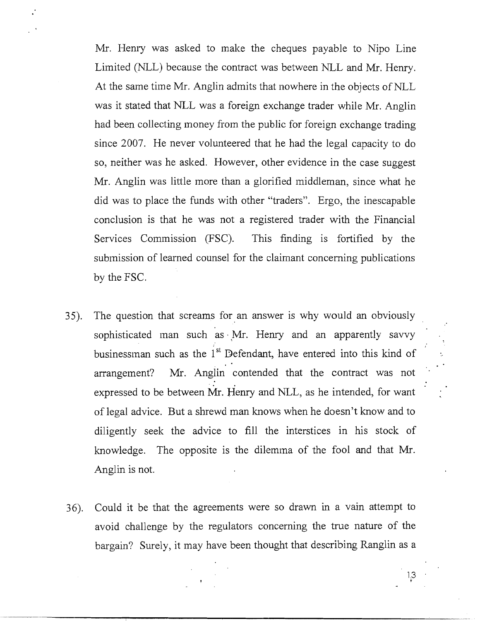Mr. Henry was asked to make the cheques payable to Nipo Line Limited (NLL) because the contract was between NLL and Mr. Henry. At the same time Mr. Anglin admits that nowhere in the objects of NLL was it stated that NLL was a foreign exchange trader while Mr. Anglin had been collecting money from the public for foreign exchange trading since 2007. He never volunteered that he had the legal capacity to do so, neither was he asked. However, other evidence in the case suggest Mr. Anglin was little inore than a glorified middleman, since what he did was to place the funds with other "traders". Ergo, the inescapable conclusion is that he was not a registered trader with the Financial Services Commission (FSC). This finding is fortified by the submission of learned counsel for the claimant concerning publications by the FSC.

 $\ddot{\cdot}$ 

- 35). The question that screams for an answer is why would an obviously sophisticated man such as Mr. Henry and an apparently savvy businessman such as the  $1<sup>st</sup>$  Defendant, have entered into this kind of arrangement? Mr. Anglin contended that the contract was not expressed to be between  $\dot{M}$ r. Henry and NLL, as he intended, for want of legal advice. But a shrewd man knows when he doesn't know and to diligently seek the advice to fill the interstices in his stock of knowledge. The opposite is the dilemina of the fool and that Mr. Anglin is not.
- 36). Could it be that the agreements were so drawn in a vain attempt to avoid challenge by the regulators concerning the true nature of the bargain? Surely, it may have been thought that describing Ranglin as a

 $\frac{1}{r}$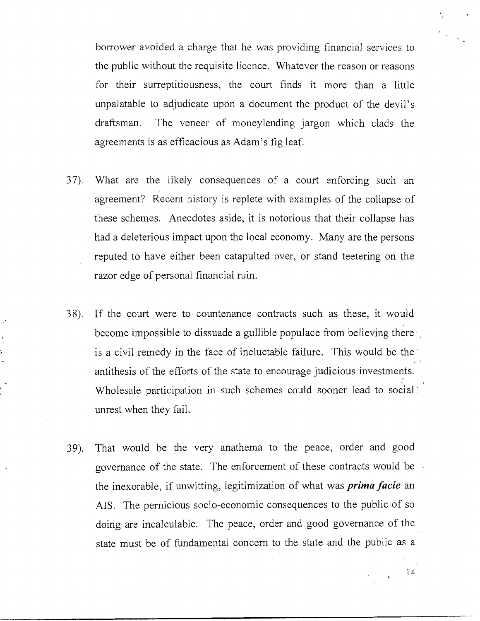borrower avoided a charge that he was providing financial services to the public without the requisite licence. Whatever the reason or reasons for their surreptitiousness, the court finds it more than a little unpalatable to adjudicate upon a document the product of the devil's draftsman. The veneer of moneylending jargon which clads the agreements is as efficacious as Adam's fig leaf.

- *37*). What are the likely consequences of a court enforcing such an agreement? Recent history is replete with examples of the collapse of these schemes. Anecdotes aside, it is notorious that their collapse has had a deleterious impact upon the local economy. Many are the persons reputed to have either been catapulted over, or stand teetering on the razor edge of personal financial ruin.
- 38). If the court were to countenance contracts such as these, it would become impossible to dissuade a gullible populace from believing there , is a civil remedy in the face of ineluctable failure. This would be the  $\cdot$ antithesis of the efforts of the state to encourage judicious investments. Wholesale participation in such schemes could sooner lead to social: unrest when they fail.
- *39).* That would be the very anathema to the peace, order and good governance of the state. The enforcement of these contracts would be the inexorable, if unwitting, legitimization of what was prima **facie** an AIS. The pernicious socio-economic consequences to the public of so doing are incalculable. The peace, order and good governance of the state must be of fundamental concern to the state and the public as a